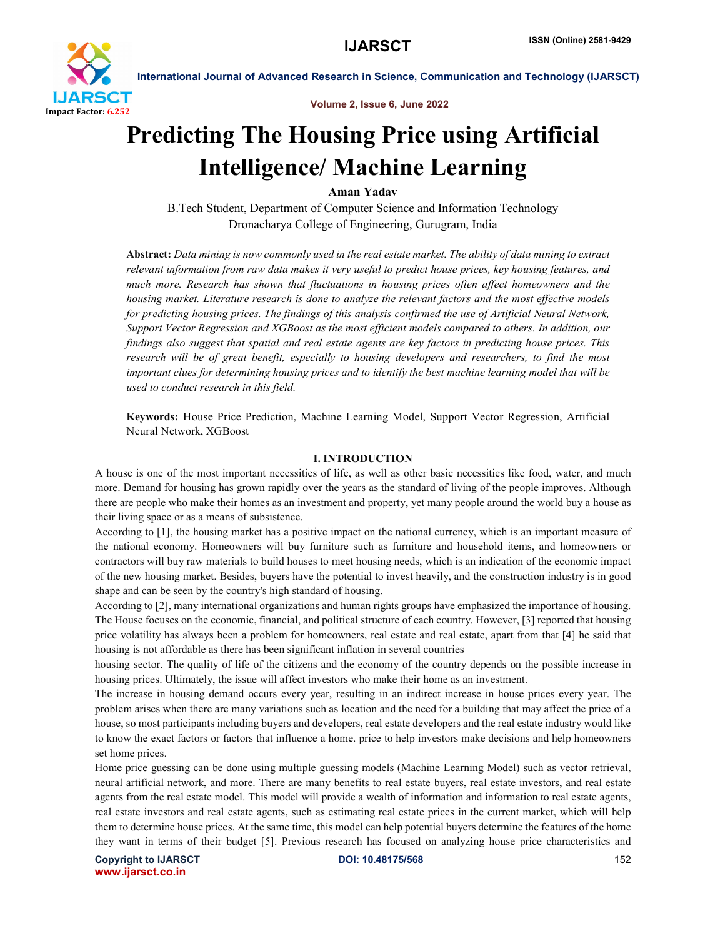

Volume 2, Issue 6, June 2022

# Predicting The Housing Price using Artificial Intelligence/ Machine Learning

Aman Yadav

B.Tech Student, Department of Computer Science and Information Technology Dronacharya College of Engineering, Gurugram, India

Abstract: *Data mining is now commonly used in the real estate market. The ability of data mining to extract relevant information from raw data makes it very useful to predict house prices, key housing features, and much more. Research has shown that fluctuations in housing prices often affect homeowners and the housing market. Literature research is done to analyze the relevant factors and the most effective models for predicting housing prices. The findings of this analysis confirmed the use of Artificial Neural Network, Support Vector Regression and XGBoost as the most efficient models compared to others. In addition, our findings also suggest that spatial and real estate agents are key factors in predicting house prices. This research will be of great benefit, especially to housing developers and researchers, to find the most important clues for determining housing prices and to identify the best machine learning model that will be used to conduct research in this field.*

Keywords: House Price Prediction, Machine Learning Model, Support Vector Regression, Artificial Neural Network, XGBoost

### I. INTRODUCTION

A house is one of the most important necessities of life, as well as other basic necessities like food, water, and much more. Demand for housing has grown rapidly over the years as the standard of living of the people improves. Although there are people who make their homes as an investment and property, yet many people around the world buy a house as their living space or as a means of subsistence.

According to [1], the housing market has a positive impact on the national currency, which is an important measure of the national economy. Homeowners will buy furniture such as furniture and household items, and homeowners or contractors will buy raw materials to build houses to meet housing needs, which is an indication of the economic impact of the new housing market. Besides, buyers have the potential to invest heavily, and the construction industry is in good shape and can be seen by the country's high standard of housing.

According to [2], many international organizations and human rights groups have emphasized the importance of housing. The House focuses on the economic, financial, and political structure of each country. However, [3] reported that housing price volatility has always been a problem for homeowners, real estate and real estate, apart from that [4] he said that housing is not affordable as there has been significant inflation in several countries

housing sector. The quality of life of the citizens and the economy of the country depends on the possible increase in housing prices. Ultimately, the issue will affect investors who make their home as an investment.

The increase in housing demand occurs every year, resulting in an indirect increase in house prices every year. The problem arises when there are many variations such as location and the need for a building that may affect the price of a house, so most participants including buyers and developers, real estate developers and the real estate industry would like to know the exact factors or factors that influence a home. price to help investors make decisions and help homeowners set home prices.

Home price guessing can be done using multiple guessing models (Machine Learning Model) such as vector retrieval, neural artificial network, and more. There are many benefits to real estate buyers, real estate investors, and real estate agents from the real estate model. This model will provide a wealth of information and information to real estate agents, real estate investors and real estate agents, such as estimating real estate prices in the current market, which will help them to determine house prices. At the same time, this model can help potential buyers determine the features of the home they want in terms of their budget [5]. Previous research has focused on analyzing house price characteristics and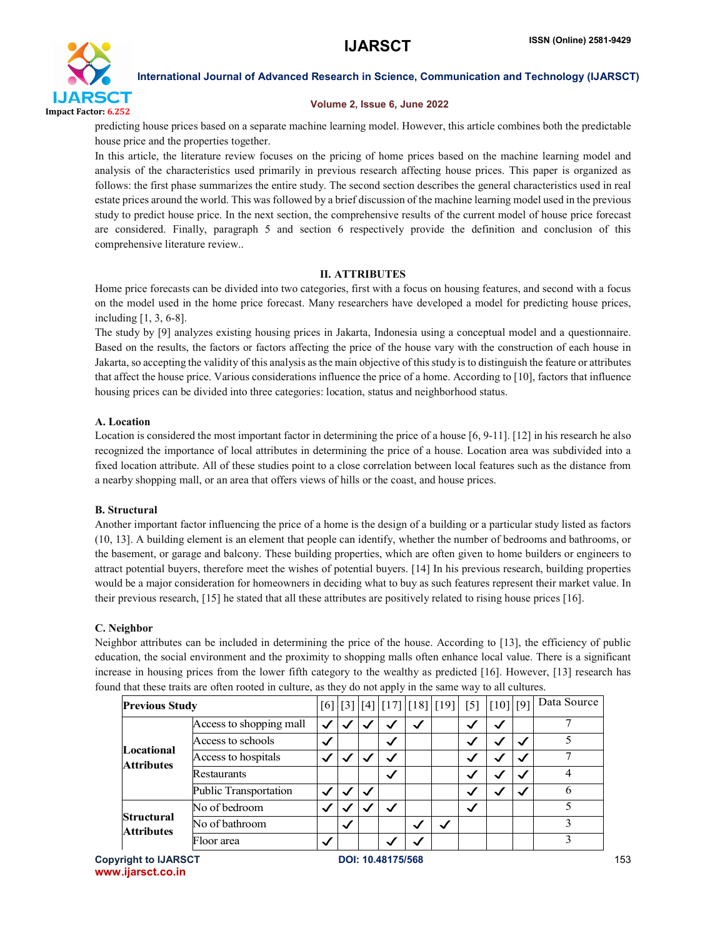

#### Volume 2, Issue 6, June 2022

predicting house prices based on a separate machine learning model. However, this article combines both the predictable house price and the properties together.

In this article, the literature review focuses on the pricing of home prices based on the machine learning model and analysis of the characteristics used primarily in previous research affecting house prices. This paper is organized as follows: the first phase summarizes the entire study. The second section describes the general characteristics used in real estate prices around the world. This was followed by a brief discussion of the machine learning model used in the previous study to predict house price. In the next section, the comprehensive results of the current model of house price forecast are considered. Finally, paragraph 5 and section 6 respectively provide the definition and conclusion of this comprehensive literature review..

# II. ATTRIBUTES

Home price forecasts can be divided into two categories, first with a focus on housing features, and second with a focus on the model used in the home price forecast. Many researchers have developed a model for predicting house prices, including [1, 3, 6-8].

The study by [9] analyzes existing housing prices in Jakarta, Indonesia using a conceptual model and a questionnaire. Based on the results, the factors or factors affecting the price of the house vary with the construction of each house in Jakarta, so accepting the validity of this analysis as the main objective of this study is to distinguish the feature or attributes that affect the house price. Various considerations influence the price of a home. According to [10], factors that influence housing prices can be divided into three categories: location, status and neighborhood status.

# A. Location

Location is considered the most important factor in determining the price of a house [6, 9-11]. [12] in his research he also recognized the importance of local attributes in determining the price of a house. Location area was subdivided into a fixed location attribute. All of these studies point to a close correlation between local features such as the distance from a nearby shopping mall, or an area that offers views of hills or the coast, and house prices.

# B. Structural

Another important factor influencing the price of a home is the design of a building or a particular study listed as factors (10, 13]. A building element is an element that people can identify, whether the number of bedrooms and bathrooms, or the basement, or garage and balcony. These building properties, which are often given to home builders or engineers to attract potential buyers, therefore meet the wishes of potential buyers. [14] In his previous research, building properties would be a major consideration for homeowners in deciding what to buy as such features represent their market value. In their previous research, [15] he stated that all these attributes are positively related to rising house prices [16].

# C. Neighbor

Neighbor attributes can be included in determining the price of the house. According to [13], the efficiency of public education, the social environment and the proximity to shopping malls often enhance local value. There is a significant increase in housing prices from the lower fifth category to the wealthy as predicted [16]. However, [13] research has found that these traits are often rooted in culture, as they do not apply in the same way to all cultures.

| <b>Previous Study</b>                  |                         |              |              |              |              |              | $[6] [3] [4] [17] [18] [19] [5] [10] [9]$ |              |              |              | Data Source |
|----------------------------------------|-------------------------|--------------|--------------|--------------|--------------|--------------|-------------------------------------------|--------------|--------------|--------------|-------------|
| Locational<br><b>Attributes</b>        | Access to shopping mall | $\checkmark$ |              |              | $\checkmark$ | ✓            |                                           | ◡            | $\checkmark$ |              |             |
|                                        | Access to schools       | $\checkmark$ |              |              | $\checkmark$ |              |                                           |              | ✓            | ✓            |             |
|                                        | Access to hospitals     |              |              |              | $\checkmark$ |              |                                           |              |              |              |             |
|                                        | <b>Restaurants</b>      |              |              |              | $\checkmark$ |              |                                           |              | ✓            | ✓            |             |
|                                        | Public Transportation   | $\checkmark$ |              | $\checkmark$ |              |              |                                           | $\checkmark$ | ✓            | $\checkmark$ | h           |
| <b>Structural</b><br><b>Attributes</b> | No of bedroom           | $\checkmark$ |              |              | $\checkmark$ |              |                                           | $\checkmark$ |              |              |             |
|                                        | No of bathroom          |              | $\checkmark$ |              |              | $\checkmark$ |                                           |              |              |              |             |
|                                        | Floor area              | ✓            |              |              |              |              |                                           |              |              |              |             |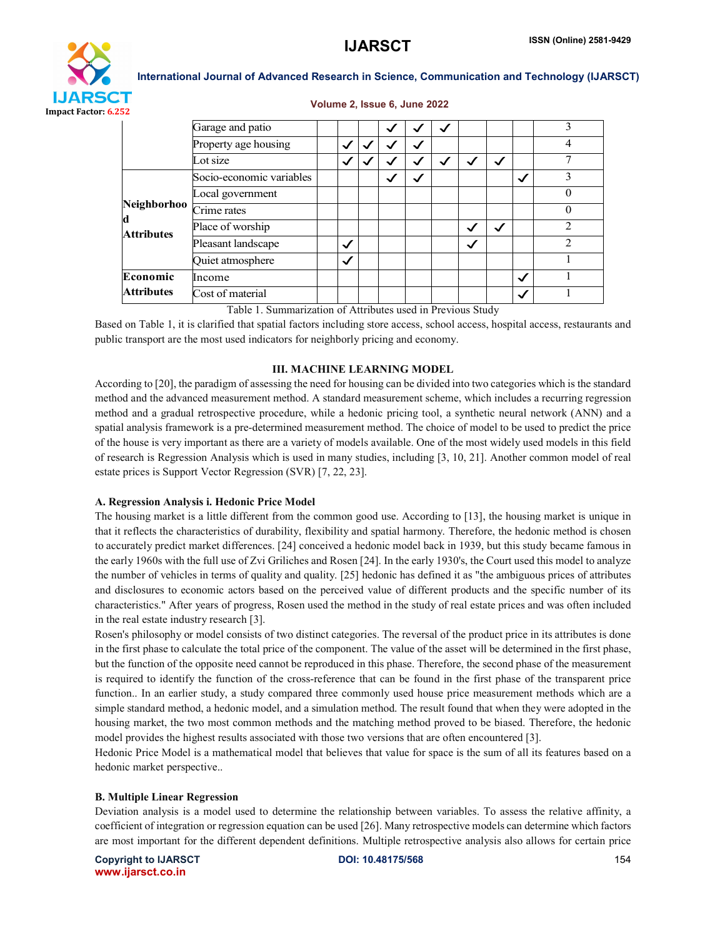

#### Volume 2, Issue 6, June 2022

|                 | Garage and patio         |              |              |   | ✓ |              |              |              | 3              |  |
|-----------------|--------------------------|--------------|--------------|---|---|--------------|--------------|--------------|----------------|--|
|                 | Property age housing     | $\checkmark$ |              | ✓ |   |              |              |              | 4              |  |
|                 | Lot size                 | √            |              |   |   | $\checkmark$ | $\checkmark$ |              |                |  |
| Neighborhoo     | Socio-economic variables |              | $\checkmark$ |   |   |              |              | $\checkmark$ | 3              |  |
|                 | Local government         |              |              |   |   |              |              |              | 0              |  |
|                 | Crime rates              |              |              |   |   |              |              |              | 0              |  |
| d<br>Attributes | Place of worship         |              |              |   |   | $\checkmark$ | $\checkmark$ |              | $\mathfrak{D}$ |  |
|                 | Pleasant landscape       | $\checkmark$ |              |   |   | $\checkmark$ |              |              | っ              |  |
|                 | Quiet atmosphere         | $\checkmark$ |              |   |   |              |              |              |                |  |
| Economic        | Income                   |              |              |   |   |              |              | $\checkmark$ |                |  |
| Attributes      | Cost of material         |              |              |   |   |              |              | $\checkmark$ |                |  |
|                 |                          |              |              |   |   |              |              |              |                |  |

Table 1. Summarization of Attributes used in Previous Study

Based on Table 1, it is clarified that spatial factors including store access, school access, hospital access, restaurants and public transport are the most used indicators for neighborly pricing and economy.

### III. MACHINE LEARNING MODEL

According to [20], the paradigm of assessing the need for housing can be divided into two categories which is the standard method and the advanced measurement method. A standard measurement scheme, which includes a recurring regression method and a gradual retrospective procedure, while a hedonic pricing tool, a synthetic neural network (ANN) and a spatial analysis framework is a pre-determined measurement method. The choice of model to be used to predict the price of the house is very important as there are a variety of models available. One of the most widely used models in this field of research is Regression Analysis which is used in many studies, including [3, 10, 21]. Another common model of real estate prices is Support Vector Regression (SVR) [7, 22, 23].

# A. Regression Analysis i. Hedonic Price Model

The housing market is a little different from the common good use. According to [13], the housing market is unique in that it reflects the characteristics of durability, flexibility and spatial harmony. Therefore, the hedonic method is chosen to accurately predict market differences. [24] conceived a hedonic model back in 1939, but this study became famous in the early 1960s with the full use of Zvi Griliches and Rosen [24]. In the early 1930's, the Court used this model to analyze the number of vehicles in terms of quality and quality. [25] hedonic has defined it as "the ambiguous prices of attributes and disclosures to economic actors based on the perceived value of different products and the specific number of its characteristics." After years of progress, Rosen used the method in the study of real estate prices and was often included in the real estate industry research [3].

Rosen's philosophy or model consists of two distinct categories. The reversal of the product price in its attributes is done in the first phase to calculate the total price of the component. The value of the asset will be determined in the first phase, but the function of the opposite need cannot be reproduced in this phase. Therefore, the second phase of the measurement is required to identify the function of the cross-reference that can be found in the first phase of the transparent price function.. In an earlier study, a study compared three commonly used house price measurement methods which are a simple standard method, a hedonic model, and a simulation method. The result found that when they were adopted in the housing market, the two most common methods and the matching method proved to be biased. Therefore, the hedonic model provides the highest results associated with those two versions that are often encountered [3].

Hedonic Price Model is a mathematical model that believes that value for space is the sum of all its features based on a hedonic market perspective..

# B. Multiple Linear Regression

Deviation analysis is a model used to determine the relationship between variables. To assess the relative affinity, a coefficient of integration or regression equation can be used [26]. Many retrospective models can determine which factors are most important for the different dependent definitions. Multiple retrospective analysis also allows for certain price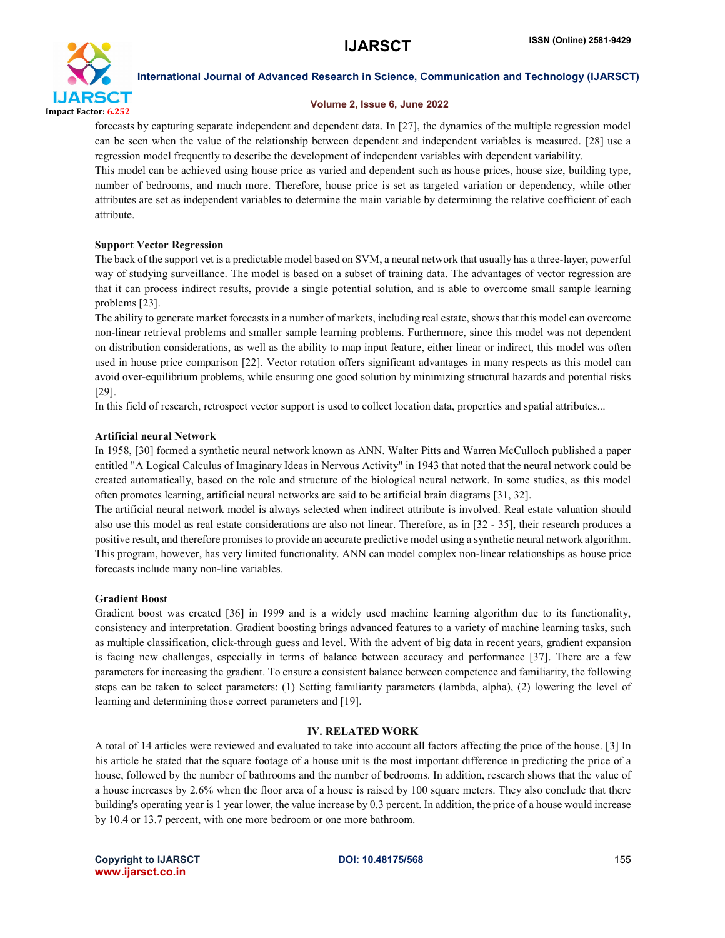

### Volume 2, Issue 6, June 2022

forecasts by capturing separate independent and dependent data. In [27], the dynamics of the multiple regression model can be seen when the value of the relationship between dependent and independent variables is measured. [28] use a regression model frequently to describe the development of independent variables with dependent variability.

This model can be achieved using house price as varied and dependent such as house prices, house size, building type, number of bedrooms, and much more. Therefore, house price is set as targeted variation or dependency, while other attributes are set as independent variables to determine the main variable by determining the relative coefficient of each attribute.

# Support Vector Regression

The back of the support vet is a predictable model based on SVM, a neural network that usually has a three-layer, powerful way of studying surveillance. The model is based on a subset of training data. The advantages of vector regression are that it can process indirect results, provide a single potential solution, and is able to overcome small sample learning problems [23].

The ability to generate market forecasts in a number of markets, including real estate, shows that this model can overcome non-linear retrieval problems and smaller sample learning problems. Furthermore, since this model was not dependent on distribution considerations, as well as the ability to map input feature, either linear or indirect, this model was often used in house price comparison [22]. Vector rotation offers significant advantages in many respects as this model can avoid over-equilibrium problems, while ensuring one good solution by minimizing structural hazards and potential risks [29].

In this field of research, retrospect vector support is used to collect location data, properties and spatial attributes...

# Artificial neural Network

In 1958, [30] formed a synthetic neural network known as ANN. Walter Pitts and Warren McCulloch published a paper entitled "A Logical Calculus of Imaginary Ideas in Nervous Activity" in 1943 that noted that the neural network could be created automatically, based on the role and structure of the biological neural network. In some studies, as this model often promotes learning, artificial neural networks are said to be artificial brain diagrams [31, 32].

The artificial neural network model is always selected when indirect attribute is involved. Real estate valuation should also use this model as real estate considerations are also not linear. Therefore, as in [32 - 35], their research produces a positive result, and therefore promises to provide an accurate predictive model using a synthetic neural network algorithm. This program, however, has very limited functionality. ANN can model complex non-linear relationships as house price forecasts include many non-line variables.

# Gradient Boost

Gradient boost was created [36] in 1999 and is a widely used machine learning algorithm due to its functionality, consistency and interpretation. Gradient boosting brings advanced features to a variety of machine learning tasks, such as multiple classification, click-through guess and level. With the advent of big data in recent years, gradient expansion is facing new challenges, especially in terms of balance between accuracy and performance [37]. There are a few parameters for increasing the gradient. To ensure a consistent balance between competence and familiarity, the following steps can be taken to select parameters: (1) Setting familiarity parameters (lambda, alpha), (2) lowering the level of learning and determining those correct parameters and [19].

# IV. RELATED WORK

A total of 14 articles were reviewed and evaluated to take into account all factors affecting the price of the house. [3] In his article he stated that the square footage of a house unit is the most important difference in predicting the price of a house, followed by the number of bathrooms and the number of bedrooms. In addition, research shows that the value of a house increases by 2.6% when the floor area of a house is raised by 100 square meters. They also conclude that there building's operating year is 1 year lower, the value increase by 0.3 percent. In addition, the price of a house would increase by 10.4 or 13.7 percent, with one more bedroom or one more bathroom.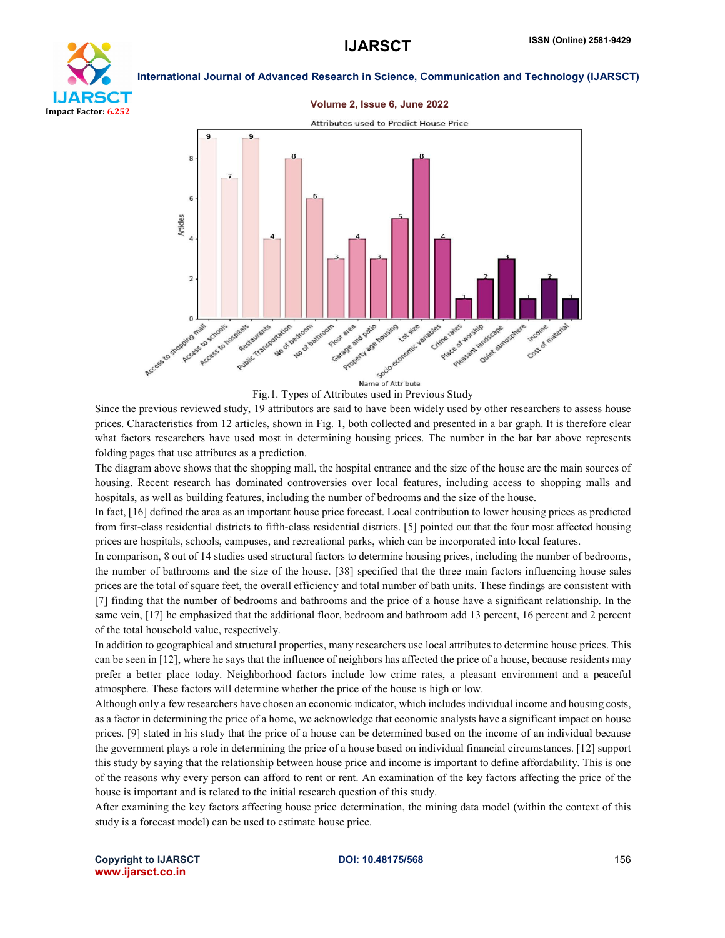

#### Volume 2, Issue 6, June 2022



Fig.1. Types of Attributes used in Previous Study

Since the previous reviewed study, 19 attributors are said to have been widely used by other researchers to assess house prices. Characteristics from 12 articles, shown in Fig. 1, both collected and presented in a bar graph. It is therefore clear what factors researchers have used most in determining housing prices. The number in the bar bar above represents folding pages that use attributes as a prediction.

The diagram above shows that the shopping mall, the hospital entrance and the size of the house are the main sources of housing. Recent research has dominated controversies over local features, including access to shopping malls and hospitals, as well as building features, including the number of bedrooms and the size of the house.

In fact, [16] defined the area as an important house price forecast. Local contribution to lower housing prices as predicted from first-class residential districts to fifth-class residential districts. [5] pointed out that the four most affected housing prices are hospitals, schools, campuses, and recreational parks, which can be incorporated into local features.

In comparison, 8 out of 14 studies used structural factors to determine housing prices, including the number of bedrooms, the number of bathrooms and the size of the house. [38] specified that the three main factors influencing house sales prices are the total of square feet, the overall efficiency and total number of bath units. These findings are consistent with [7] finding that the number of bedrooms and bathrooms and the price of a house have a significant relationship. In the same vein, [17] he emphasized that the additional floor, bedroom and bathroom add 13 percent, 16 percent and 2 percent of the total household value, respectively.

In addition to geographical and structural properties, many researchers use local attributes to determine house prices. This can be seen in [12], where he says that the influence of neighbors has affected the price of a house, because residents may prefer a better place today. Neighborhood factors include low crime rates, a pleasant environment and a peaceful atmosphere. These factors will determine whether the price of the house is high or low.

Although only a few researchers have chosen an economic indicator, which includes individual income and housing costs, as a factor in determining the price of a home, we acknowledge that economic analysts have a significant impact on house prices. [9] stated in his study that the price of a house can be determined based on the income of an individual because the government plays a role in determining the price of a house based on individual financial circumstances. [12] support this study by saying that the relationship between house price and income is important to define affordability. This is one of the reasons why every person can afford to rent or rent. An examination of the key factors affecting the price of the house is important and is related to the initial research question of this study.

After examining the key factors affecting house price determination, the mining data model (within the context of this study is a forecast model) can be used to estimate house price.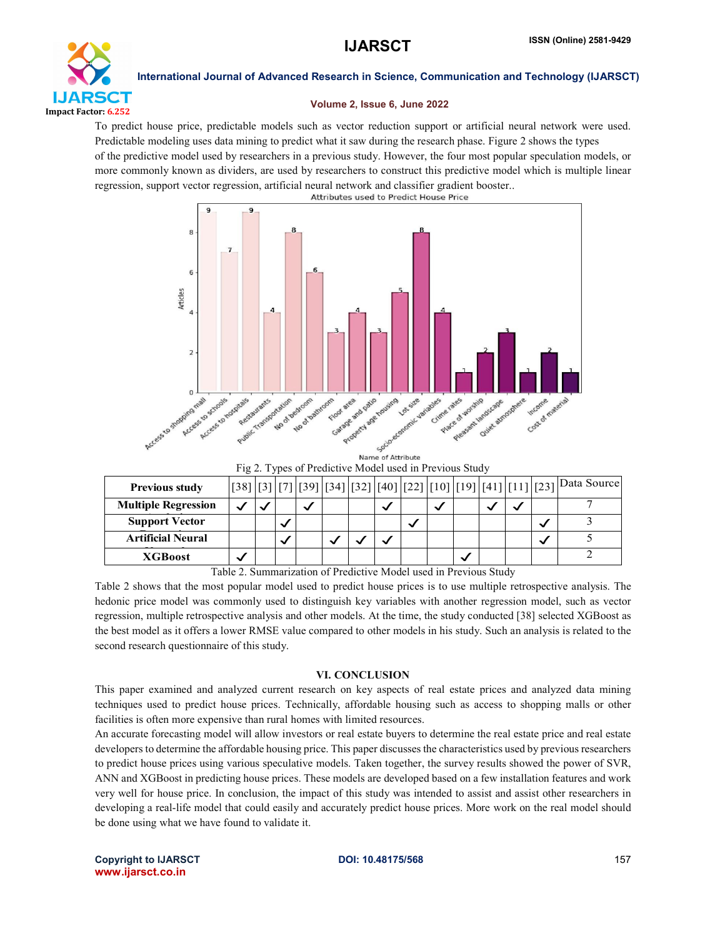

### Volume 2, Issue 6, June 2022

To predict house price, predictable models such as vector reduction support or artificial neural network were used. Predictable modeling uses data mining to predict what it saw during the research phase. Figure 2 shows the types of the predictive model used by researchers in a previous study. However, the four most popular speculation models, or more commonly known as dividers, are used by researchers to construct this predictive model which is multiple linear regression, support vector regression, artificial neural network and classifier gradient booster..



Name of Attribute Fig 2. Types of Predictive Model used in Previous Study

| $\frac{1}{2}$ $\frac{1}{2}$ $\frac{1}{2}$ $\frac{1}{2}$ $\frac{1}{2}$ $\frac{1}{2}$ $\frac{1}{2}$ $\frac{1}{2}$ $\frac{1}{2}$ $\frac{1}{2}$ $\frac{1}{2}$ $\frac{1}{2}$ $\frac{1}{2}$ $\frac{1}{2}$ $\frac{1}{2}$ $\frac{1}{2}$ $\frac{1}{2}$ $\frac{1}{2}$ $\frac{1}{2}$ $\frac{1}{2}$ $\frac{1}{2}$ $\frac{1}{2}$ |  |  |   |  |  |  |   |   |   |   |  |                                                                            |
|---------------------------------------------------------------------------------------------------------------------------------------------------------------------------------------------------------------------------------------------------------------------------------------------------------------------|--|--|---|--|--|--|---|---|---|---|--|----------------------------------------------------------------------------|
| <b>Previous study</b>                                                                                                                                                                                                                                                                                               |  |  |   |  |  |  |   |   |   |   |  | [38] [3] [7] [39] [34] [32] [40] [22] [10] [19] [41] [11] [23] Data Source |
| <b>Multiple Regression</b>                                                                                                                                                                                                                                                                                          |  |  |   |  |  |  | N |   | ◡ |   |  |                                                                            |
| <b>Support Vector</b>                                                                                                                                                                                                                                                                                               |  |  |   |  |  |  |   | ◡ |   |   |  |                                                                            |
| <b>Artificial Neural</b>                                                                                                                                                                                                                                                                                            |  |  | ◡ |  |  |  |   |   |   |   |  |                                                                            |
| <b>XGBoost</b>                                                                                                                                                                                                                                                                                                      |  |  |   |  |  |  |   |   |   | ◡ |  |                                                                            |
| $0.75 - 11$ $1.7 - 3.7 - 1.1$<br>$\cdots$<br>T11A <sub>0</sub><br>$\sim$ $\sim$                                                                                                                                                                                                                                     |  |  |   |  |  |  |   |   |   |   |  |                                                                            |

Table 2. Summarization of Predictive Model used in Previous Study

Table 2 shows that the most popular model used to predict house prices is to use multiple retrospective analysis. The hedonic price model was commonly used to distinguish key variables with another regression model, such as vector regression, multiple retrospective analysis and other models. At the time, the study conducted [38] selected XGBoost as the best model as it offers a lower RMSE value compared to other models in his study. Such an analysis is related to the second research questionnaire of this study.

### VI. CONCLUSION

This paper examined and analyzed current research on key aspects of real estate prices and analyzed data mining techniques used to predict house prices. Technically, affordable housing such as access to shopping malls or other facilities is often more expensive than rural homes with limited resources.

An accurate forecasting model will allow investors or real estate buyers to determine the real estate price and real estate developers to determine the affordable housing price. This paper discusses the characteristics used by previous researchers to predict house prices using various speculative models. Taken together, the survey results showed the power of SVR, ANN and XGBoost in predicting house prices. These models are developed based on a few installation features and work very well for house price. In conclusion, the impact of this study was intended to assist and assist other researchers in developing a real-life model that could easily and accurately predict house prices. More work on the real model should be done using what we have found to validate it.

Copyright to IJARSCT **DOI: 10.48175/568** 157 www.ijarsct.co.in